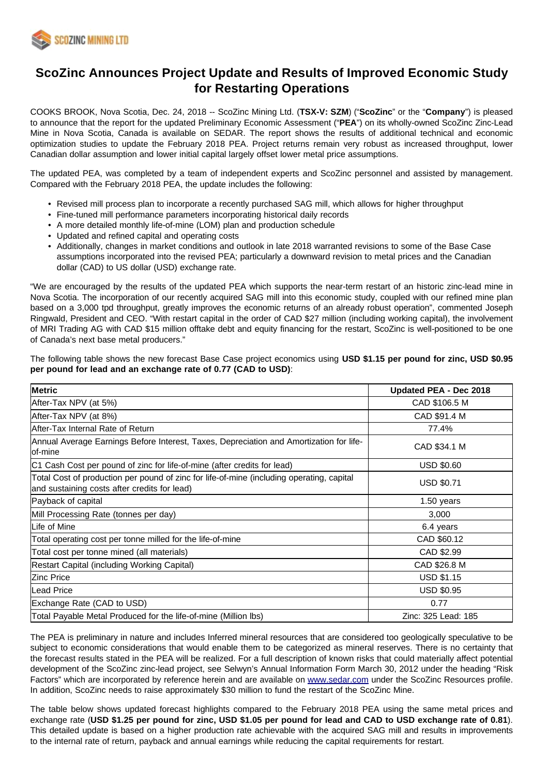

# **ScoZinc Announces Project Update and Results of Improved Economic Study for Restarting Operations**

COOKS BROOK, Nova Scotia, Dec. 24, 2018 -- ScoZinc Mining Ltd. (**TSX-V: SZM**) ("**ScoZinc**" or the "**Company**") is pleased to announce that the report for the updated Preliminary Economic Assessment ("**PEA**") on its wholly-owned ScoZinc Zinc-Lead Mine in Nova Scotia, Canada is available on SEDAR. The report shows the results of additional technical and economic optimization studies to update the February 2018 PEA. Project returns remain very robust as increased throughput, lower Canadian dollar assumption and lower initial capital largely offset lower metal price assumptions.

The updated PEA, was completed by a team of independent experts and ScoZinc personnel and assisted by management. Compared with the February 2018 PEA, the update includes the following:

- Revised mill process plan to incorporate a recently purchased SAG mill, which allows for higher throughput
- Fine-tuned mill performance parameters incorporating historical daily records
- A more detailed monthly life-of-mine (LOM) plan and production schedule
- Updated and refined capital and operating costs
- Additionally, changes in market conditions and outlook in late 2018 warranted revisions to some of the Base Case assumptions incorporated into the revised PEA; particularly a downward revision to metal prices and the Canadian dollar (CAD) to US dollar (USD) exchange rate.

"We are encouraged by the results of the updated PEA which supports the near-term restart of an historic zinc-lead mine in Nova Scotia. The incorporation of our recently acquired SAG mill into this economic study, coupled with our refined mine plan based on a 3,000 tpd throughput, greatly improves the economic returns of an already robust operation", commented Joseph Ringwald, President and CEO. "With restart capital in the order of CAD \$27 million (including working capital), the involvement of MRI Trading AG with CAD \$15 million offtake debt and equity financing for the restart, ScoZinc is well-positioned to be one of Canada's next base metal producers."

The following table shows the new forecast Base Case project economics using **USD \$1.15 per pound for zinc, USD \$0.95 per pound for lead and an exchange rate of 0.77 (CAD to USD)**:

| <b>Metric</b>                                                                                                                             | Updated PEA - Dec 2018 |  |  |
|-------------------------------------------------------------------------------------------------------------------------------------------|------------------------|--|--|
| After-Tax NPV (at 5%)                                                                                                                     | CAD \$106.5 M          |  |  |
| After-Tax NPV (at 8%)                                                                                                                     | CAD \$91.4 M           |  |  |
| lAfter-Tax Internal Rate of Return                                                                                                        | 77.4%                  |  |  |
| Annual Average Earnings Before Interest, Taxes, Depreciation and Amortization for life-<br>lof-mine                                       | CAD \$34.1 M           |  |  |
| C1 Cash Cost per pound of zinc for life-of-mine (after credits for lead)                                                                  | <b>USD \$0.60</b>      |  |  |
| Total Cost of production per pound of zinc for life-of-mine (including operating, capital<br>and sustaining costs after credits for lead) | <b>USD \$0.71</b>      |  |  |
| Payback of capital                                                                                                                        | 1.50 years             |  |  |
| Mill Processing Rate (tonnes per day)                                                                                                     | 3,000                  |  |  |
| Life of Mine                                                                                                                              | 6.4 years              |  |  |
| Total operating cost per tonne milled for the life-of-mine                                                                                | CAD \$60.12            |  |  |
| Total cost per tonne mined (all materials)                                                                                                | CAD \$2.99             |  |  |
| Restart Capital (including Working Capital)                                                                                               | CAD \$26.8 M           |  |  |
| IZinc Price                                                                                                                               | <b>USD \$1.15</b>      |  |  |
| lLead Price                                                                                                                               | <b>USD \$0.95</b>      |  |  |
| Exchange Rate (CAD to USD)                                                                                                                | 0.77                   |  |  |
| Total Payable Metal Produced for the life-of-mine (Million Ibs)                                                                           | Zinc: 325 Lead: 185    |  |  |

The PEA is preliminary in nature and includes Inferred mineral resources that are considered too geologically speculative to be subject to economic considerations that would enable them to be categorized as mineral reserves. There is no certainty that the forecast results stated in the PEA will be realized. For a full description of known risks that could materially affect potential development of the ScoZinc zinc-lead project, see Selwyn's Annual Information Form March 30, 2012 under the heading "Risk Factors" which are incorporated by reference herein and are available on [www.sedar.com](http://www.sedar.com/) under the ScoZinc Resources profile. In addition, ScoZinc needs to raise approximately \$30 million to fund the restart of the ScoZinc Mine.

The table below shows updated forecast highlights compared to the February 2018 PEA using the same metal prices and exchange rate (**USD \$1.25 per pound for zinc, USD \$1.05 per pound for lead and CAD to USD exchange rate of 0.81**). This detailed update is based on a higher production rate achievable with the acquired SAG mill and results in improvements to the internal rate of return, payback and annual earnings while reducing the capital requirements for restart.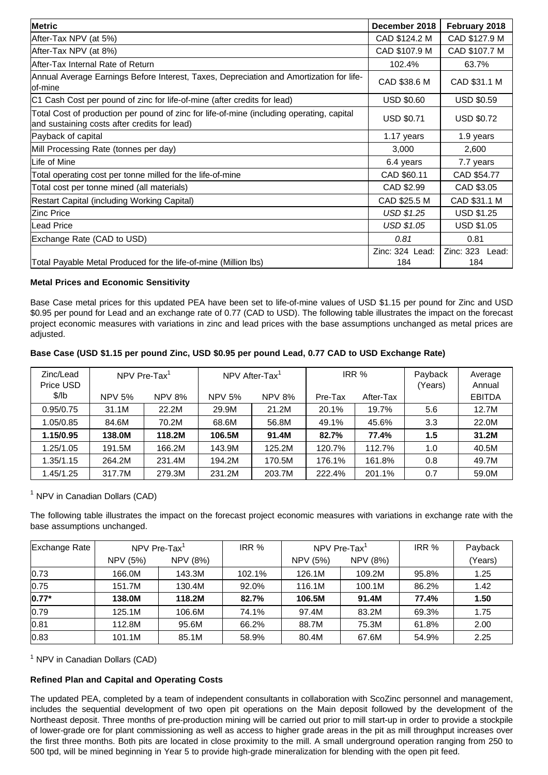| <b>Metric</b>                                                                                                                             | December 2018          | February 2018          |  |  |  |  |
|-------------------------------------------------------------------------------------------------------------------------------------------|------------------------|------------------------|--|--|--|--|
| After-Tax NPV (at 5%)                                                                                                                     | CAD \$124.2 M          | CAD \$127.9 M          |  |  |  |  |
| After-Tax NPV (at 8%)                                                                                                                     | CAD \$107.9 M          | CAD \$107.7 M          |  |  |  |  |
| After-Tax Internal Rate of Return                                                                                                         | 102.4%<br>63.7%        |                        |  |  |  |  |
| Annual Average Earnings Before Interest, Taxes, Depreciation and Amortization for life-<br>lof-mine                                       | CAD \$38.6 M           | CAD \$31.1 M           |  |  |  |  |
| C1 Cash Cost per pound of zinc for life-of-mine (after credits for lead)                                                                  | <b>USD \$0.60</b>      | <b>USD \$0.59</b>      |  |  |  |  |
| Total Cost of production per pound of zinc for life-of-mine (including operating, capital<br>and sustaining costs after credits for lead) | <b>USD \$0.71</b>      | <b>USD \$0.72</b>      |  |  |  |  |
| Payback of capital                                                                                                                        | 1.17 years             | 1.9 years              |  |  |  |  |
| Mill Processing Rate (tonnes per day)                                                                                                     | 3,000                  | 2,600                  |  |  |  |  |
| Life of Mine                                                                                                                              | 6.4 years              | 7.7 years              |  |  |  |  |
| Total operating cost per tonne milled for the life-of-mine                                                                                | CAD \$60.11            | CAD \$54.77            |  |  |  |  |
| Total cost per tonne mined (all materials)                                                                                                | CAD \$2.99             |                        |  |  |  |  |
| Restart Capital (including Working Capital)                                                                                               | CAD \$25.5 M           |                        |  |  |  |  |
| IZinc Price                                                                                                                               | <b>USD \$1.25</b>      |                        |  |  |  |  |
| lLead Price                                                                                                                               | USD \$1.05             |                        |  |  |  |  |
| Exchange Rate (CAD to USD)                                                                                                                | 0.81                   | 0.81                   |  |  |  |  |
| Total Payable Metal Produced for the life-of-mine (Million lbs)                                                                           | Zinc: 324 Lead:<br>184 | Zinc: 323 Lead:<br>184 |  |  |  |  |

# **Metal Prices and Economic Sensitivity**

Base Case metal prices for this updated PEA have been set to life-of-mine values of USD \$1.15 per pound for Zinc and USD \$0.95 per pound for Lead and an exchange rate of 0.77 (CAD to USD). The following table illustrates the impact on the forecast project economic measures with variations in zinc and lead prices with the base assumptions unchanged as metal prices are adjusted.

# **Base Case (USD \$1.15 per pound Zinc, USD \$0.95 per pound Lead, 0.77 CAD to USD Exchange Rate)**

| Zinc/Lead<br>Price USD |               | NPV Pre-Tax $1$ |               | NPV After-Tax <sup>1</sup> | IRR %   |           | Payback<br>(Years) | Average<br>Annual |
|------------------------|---------------|-----------------|---------------|----------------------------|---------|-----------|--------------------|-------------------|
| \$/lb                  | <b>NPV 5%</b> | <b>NPV 8%</b>   | <b>NPV 5%</b> | <b>NPV 8%</b>              | Pre-Tax | After-Tax |                    | <b>EBITDA</b>     |
| 0.95/0.75              | 31.1M         | 22.2M           | 29.9M         | 21.2M                      | 20.1%   | 19.7%     | 5.6                | 12.7M             |
| 1.05/0.85              | 84.6M         | 70.2M           | 68.6M         | 56.8M                      | 49.1%   | 45.6%     | 3.3                | 22.0M             |
| 1.15/0.95              | 138.0M        | 118.2M          | 106.5M        | 91.4M                      | 82.7%   | 77.4%     | 1.5                | 31.2M             |
| 1.25/1.05              | 191.5M        | 166.2M          | 143.9M        | 125.2M                     | 120.7%  | 112.7%    | 1.0                | 40.5M             |
| 1.35/1.15              | 264.2M        | 231.4M          | 194.2M        | 170.5M                     | 176.1%  | 161.8%    | 0.8                | 49.7M             |
| 1.45/1.25              | 317.7M        | 279.3M          | 231.2M        | 203.7M                     | 222.4%  | 201.1%    | 0.7                | 59.0M             |

# $<sup>1</sup>$  NPV in Canadian Dollars (CAD)</sup>

The following table illustrates the impact on the forecast project economic measures with variations in exchange rate with the base assumptions unchanged.

| Exchange Rate | NPV Pre-Tax <sup>1</sup> |          | IRR %  | NPV Pre-Tax <sup>1</sup> |          | IRR % | Payback |
|---------------|--------------------------|----------|--------|--------------------------|----------|-------|---------|
|               | NPV (5%)                 | NPV (8%) |        | NPV (5%)                 | NPV (8%) |       | (Years) |
| 0.73          | 166.0M                   | 143.3M   | 102.1% | 126.1M                   | 109.2M   | 95.8% | 1.25    |
| 0.75          | 151.7M                   | 130.4M   | 92.0%  | 116.1M                   | 100.1M   | 86.2% | 1.42    |
| $ 0.77*$      | 138.0M                   | 118.2M   | 82.7%  | 106.5M                   | 91.4M    | 77.4% | 1.50    |
| 0.79          | 125.1M                   | 106.6M   | 74.1%  | 97.4M                    | 83.2M    | 69.3% | 1.75    |
| 0.81          | 112.8M                   | 95.6M    | 66.2%  | 88.7M                    | 75.3M    | 61.8% | 2.00    |
| 0.83          | 101.1M                   | 85.1M    | 58.9%  | 80.4M                    | 67.6M    | 54.9% | 2.25    |

<sup>1</sup> NPV in Canadian Dollars (CAD)

# **Refined Plan and Capital and Operating Costs**

The updated PEA, completed by a team of independent consultants in collaboration with ScoZinc personnel and management, includes the sequential development of two open pit operations on the Main deposit followed by the development of the Northeast deposit. Three months of pre-production mining will be carried out prior to mill start-up in order to provide a stockpile of lower-grade ore for plant commissioning as well as access to higher grade areas in the pit as mill throughput increases over the first three months. Both pits are located in close proximity to the mill. A small underground operation ranging from 250 to 500 tpd, will be mined beginning in Year 5 to provide high-grade mineralization for blending with the open pit feed.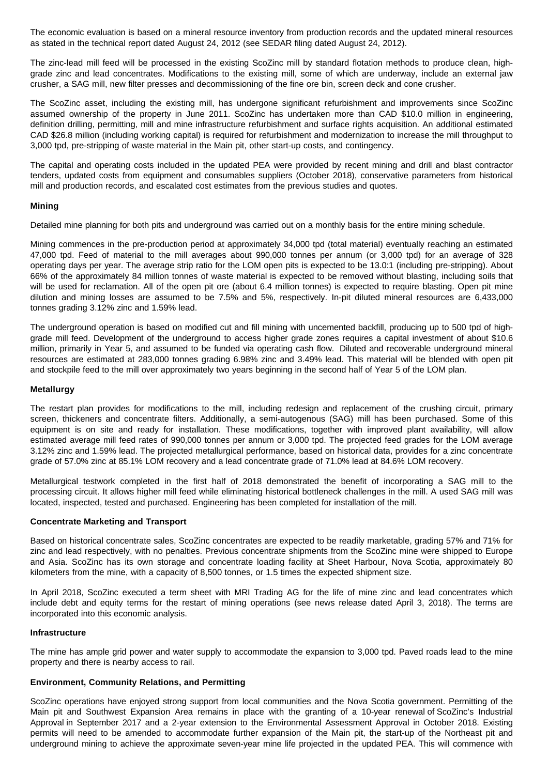The economic evaluation is based on a mineral resource inventory from production records and the updated mineral resources as stated in the technical report dated August 24, 2012 (see SEDAR filing dated August 24, 2012).

The zinc-lead mill feed will be processed in the existing ScoZinc mill by standard flotation methods to produce clean, highgrade zinc and lead concentrates. Modifications to the existing mill, some of which are underway, include an external jaw crusher, a SAG mill, new filter presses and decommissioning of the fine ore bin, screen deck and cone crusher.

The ScoZinc asset, including the existing mill, has undergone significant refurbishment and improvements since ScoZinc assumed ownership of the property in June 2011. ScoZinc has undertaken more than CAD \$10.0 million in engineering, definition drilling, permitting, mill and mine infrastructure refurbishment and surface rights acquisition. An additional estimated CAD \$26.8 million (including working capital) is required for refurbishment and modernization to increase the mill throughput to 3,000 tpd, pre-stripping of waste material in the Main pit, other start-up costs, and contingency.

The capital and operating costs included in the updated PEA were provided by recent mining and drill and blast contractor tenders, updated costs from equipment and consumables suppliers (October 2018), conservative parameters from historical mill and production records, and escalated cost estimates from the previous studies and quotes.

#### **Mining**

Detailed mine planning for both pits and underground was carried out on a monthly basis for the entire mining schedule.

Mining commences in the pre-production period at approximately 34,000 tpd (total material) eventually reaching an estimated 47,000 tpd. Feed of material to the mill averages about 990,000 tonnes per annum (or 3,000 tpd) for an average of 328 operating days per year. The average strip ratio for the LOM open pits is expected to be 13.0:1 (including pre-stripping). About 66% of the approximately 84 million tonnes of waste material is expected to be removed without blasting, including soils that will be used for reclamation. All of the open pit ore (about 6.4 million tonnes) is expected to require blasting. Open pit mine dilution and mining losses are assumed to be 7.5% and 5%, respectively. In-pit diluted mineral resources are 6,433,000 tonnes grading 3.12% zinc and 1.59% lead.

The underground operation is based on modified cut and fill mining with uncemented backfill, producing up to 500 tpd of highgrade mill feed. Development of the underground to access higher grade zones requires a capital investment of about \$10.6 million, primarily in Year 5, and assumed to be funded via operating cash flow. Diluted and recoverable underground mineral resources are estimated at 283,000 tonnes grading 6.98% zinc and 3.49% lead. This material will be blended with open pit and stockpile feed to the mill over approximately two years beginning in the second half of Year 5 of the LOM plan.

### **Metallurgy**

The restart plan provides for modifications to the mill, including redesign and replacement of the crushing circuit, primary screen, thickeners and concentrate filters. Additionally, a semi-autogenous (SAG) mill has been purchased. Some of this equipment is on site and ready for installation. These modifications, together with improved plant availability, will allow estimated average mill feed rates of 990,000 tonnes per annum or 3,000 tpd. The projected feed grades for the LOM average 3.12% zinc and 1.59% lead. The projected metallurgical performance, based on historical data, provides for a zinc concentrate grade of 57.0% zinc at 85.1% LOM recovery and a lead concentrate grade of 71.0% lead at 84.6% LOM recovery.

Metallurgical testwork completed in the first half of 2018 demonstrated the benefit of incorporating a SAG mill to the processing circuit. It allows higher mill feed while eliminating historical bottleneck challenges in the mill. A used SAG mill was located, inspected, tested and purchased. Engineering has been completed for installation of the mill.

#### **Concentrate Marketing and Transport**

Based on historical concentrate sales, ScoZinc concentrates are expected to be readily marketable, grading 57% and 71% for zinc and lead respectively, with no penalties. Previous concentrate shipments from the ScoZinc mine were shipped to Europe and Asia. ScoZinc has its own storage and concentrate loading facility at Sheet Harbour, Nova Scotia, approximately 80 kilometers from the mine, with a capacity of 8,500 tonnes, or 1.5 times the expected shipment size.

In April 2018, ScoZinc executed a term sheet with MRI Trading AG for the life of mine zinc and lead concentrates which include debt and equity terms for the restart of mining operations (see news release dated April 3, 2018). The terms are incorporated into this economic analysis.

#### **Infrastructure**

The mine has ample grid power and water supply to accommodate the expansion to 3,000 tpd. Paved roads lead to the mine property and there is nearby access to rail.

#### **Environment, Community Relations, and Permitting**

ScoZinc operations have enjoyed strong support from local communities and the Nova Scotia government. Permitting of the Main pit and Southwest Expansion Area remains in place with the granting of a 10-year renewal of ScoZinc's Industrial Approval in September 2017 and a 2-year extension to the Environmental Assessment Approval in October 2018. Existing permits will need to be amended to accommodate further expansion of the Main pit, the start-up of the Northeast pit and underground mining to achieve the approximate seven-year mine life projected in the updated PEA. This will commence with